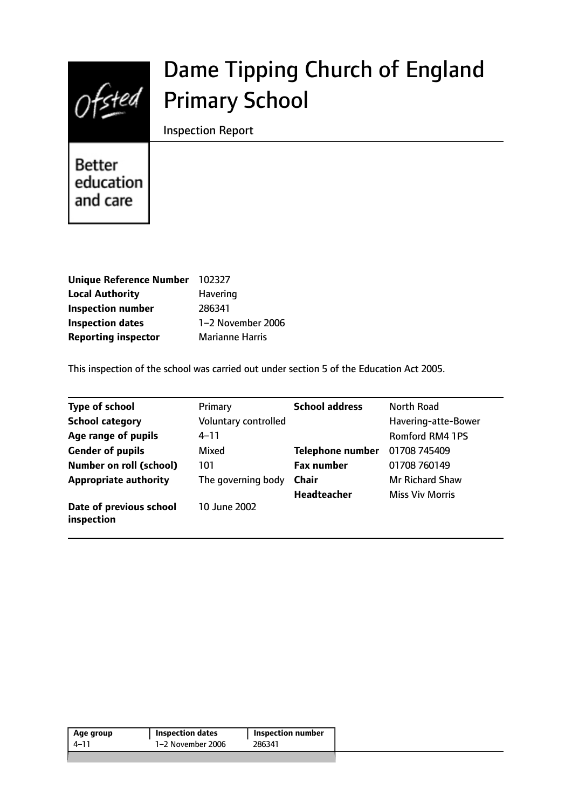

# Dame Tipping Church of England Primary School

Inspection Report

**Better** education and care

| <b>Unique Reference Number</b> | 102327                 |
|--------------------------------|------------------------|
| <b>Local Authority</b>         | Havering               |
| <b>Inspection number</b>       | 286341                 |
| <b>Inspection dates</b>        | 1-2 November 2006      |
| <b>Reporting inspector</b>     | <b>Marianne Harris</b> |

This inspection of the school was carried out under section 5 of the Education Act 2005.

| <b>Type of school</b>                 | Primary              | <b>School address</b> | North Road             |
|---------------------------------------|----------------------|-----------------------|------------------------|
| <b>School category</b>                | Voluntary controlled |                       | Havering-atte-Bower    |
| Age range of pupils                   | 4–11                 |                       | <b>Romford RM4 1PS</b> |
| <b>Gender of pupils</b>               | Mixed                | Telephone number      | 01708 745409           |
| <b>Number on roll (school)</b>        | 101                  | <b>Fax number</b>     | 01708 760149           |
| <b>Appropriate authority</b>          | The governing body   | <b>Chair</b>          | <b>Mr Richard Shaw</b> |
|                                       |                      | <b>Headteacher</b>    | <b>Miss Viv Morris</b> |
| Date of previous school<br>inspection | 10 June 2002         |                       |                        |

| Age group | <b>Inspection dates</b> | Inspection number |
|-----------|-------------------------|-------------------|
| 4–11      | 1-2 November 2006       | 286341            |
|           |                         |                   |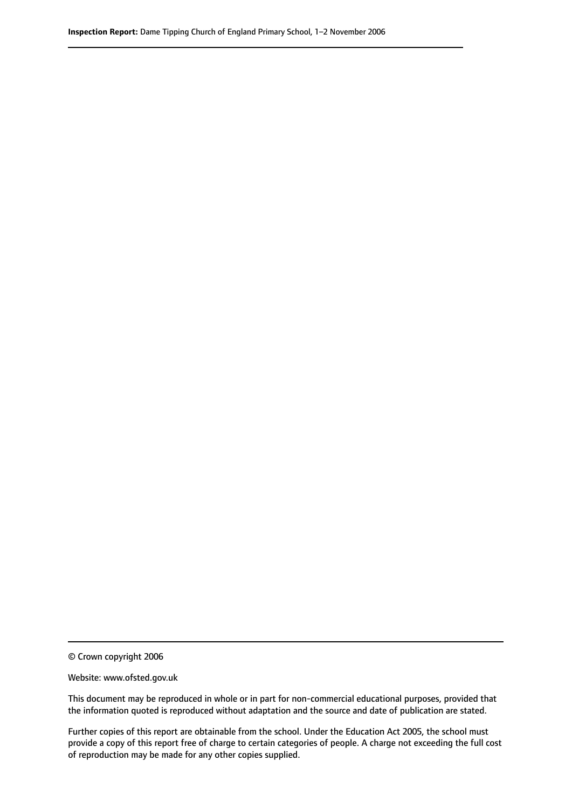© Crown copyright 2006

Website: www.ofsted.gov.uk

This document may be reproduced in whole or in part for non-commercial educational purposes, provided that the information quoted is reproduced without adaptation and the source and date of publication are stated.

Further copies of this report are obtainable from the school. Under the Education Act 2005, the school must provide a copy of this report free of charge to certain categories of people. A charge not exceeding the full cost of reproduction may be made for any other copies supplied.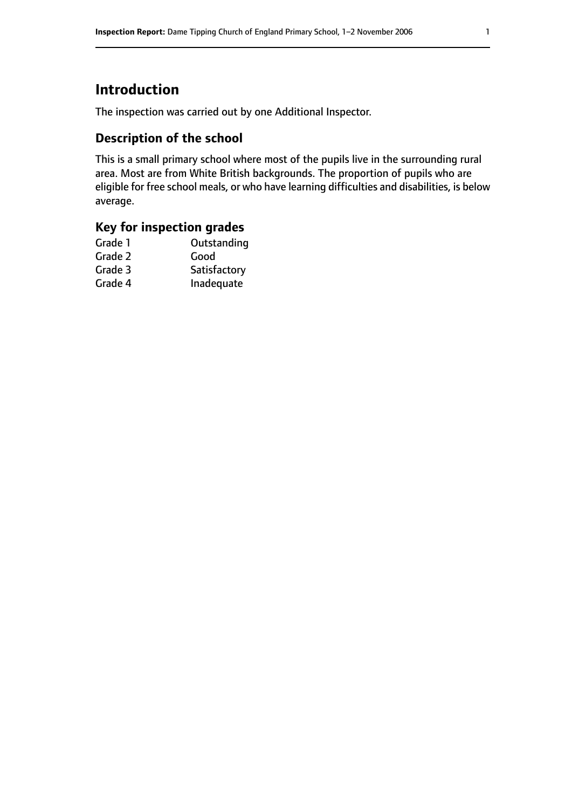# **Introduction**

The inspection was carried out by one Additional Inspector.

# **Description of the school**

This is a small primary school where most of the pupils live in the surrounding rural area. Most are from White British backgrounds. The proportion of pupils who are eligible for free school meals, or who have learning difficulties and disabilities, is below average.

# **Key for inspection grades**

| Outstanding  |
|--------------|
| Good         |
| Satisfactory |
| Inadequate   |
|              |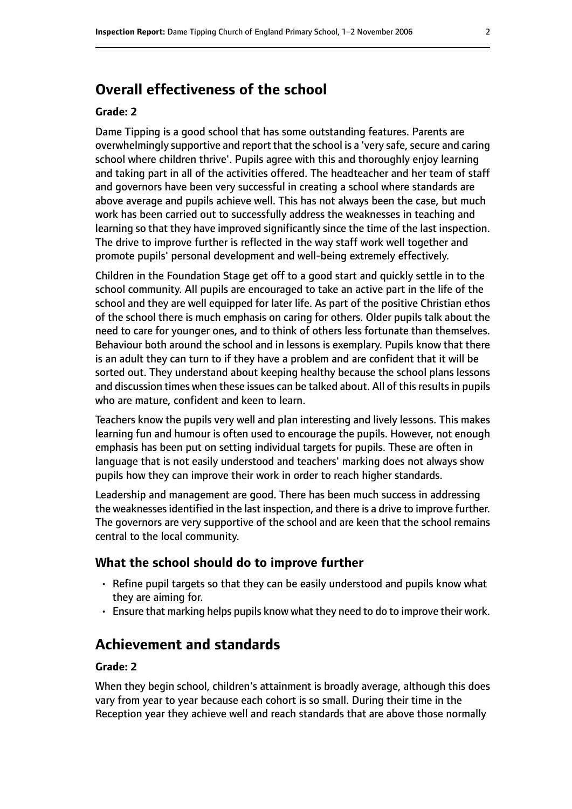# **Overall effectiveness of the school**

#### **Grade: 2**

Dame Tipping is a good school that has some outstanding features. Parents are overwhelmingly supportive and report that the school is a 'very safe, secure and caring school where children thrive'. Pupils agree with this and thoroughly enjoy learning and taking part in all of the activities offered. The headteacher and her team of staff and governors have been very successful in creating a school where standards are above average and pupils achieve well. This has not always been the case, but much work has been carried out to successfully address the weaknesses in teaching and learning so that they have improved significantly since the time of the last inspection. The drive to improve further is reflected in the way staff work well together and promote pupils' personal development and well-being extremely effectively.

Children in the Foundation Stage get off to a good start and quickly settle in to the school community. All pupils are encouraged to take an active part in the life of the school and they are well equipped for later life. As part of the positive Christian ethos of the school there is much emphasis on caring for others. Older pupils talk about the need to care for younger ones, and to think of others less fortunate than themselves. Behaviour both around the school and in lessons is exemplary. Pupils know that there is an adult they can turn to if they have a problem and are confident that it will be sorted out. They understand about keeping healthy because the school plans lessons and discussion times when these issues can be talked about. All of this results in pupils who are mature, confident and keen to learn.

Teachers know the pupils very well and plan interesting and lively lessons. This makes learning fun and humour is often used to encourage the pupils. However, not enough emphasis has been put on setting individual targets for pupils. These are often in language that is not easily understood and teachers' marking does not always show pupils how they can improve their work in order to reach higher standards.

Leadership and management are good. There has been much success in addressing the weaknesses identified in the last inspection, and there is a drive to improve further. The governors are very supportive of the school and are keen that the school remains central to the local community.

#### **What the school should do to improve further**

- Refine pupil targets so that they can be easily understood and pupils know what they are aiming for.
- Ensure that marking helps pupils know what they need to do to improve their work.

## **Achievement and standards**

#### **Grade: 2**

When they begin school, children's attainment is broadly average, although this does vary from year to year because each cohort is so small. During their time in the Reception year they achieve well and reach standards that are above those normally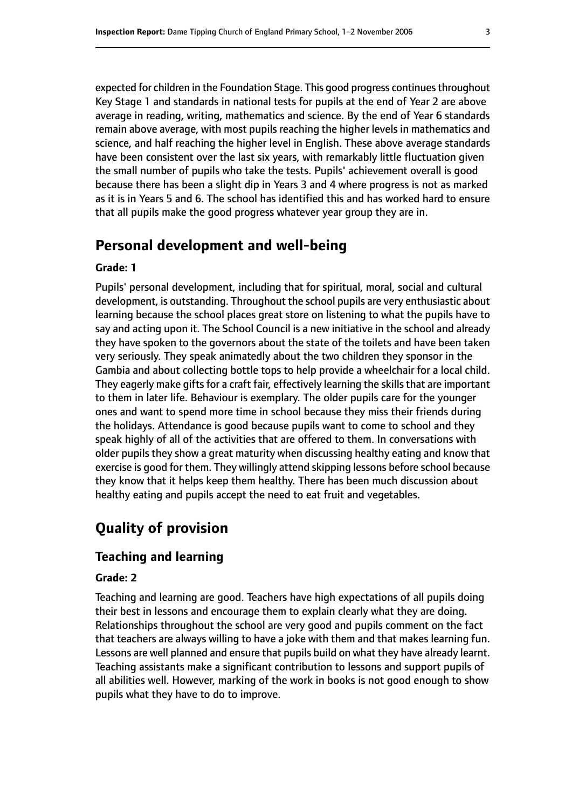expected for children in the Foundation Stage. This good progress continuesthroughout Key Stage 1 and standards in national tests for pupils at the end of Year 2 are above average in reading, writing, mathematics and science. By the end of Year 6 standards remain above average, with most pupils reaching the higher levels in mathematics and science, and half reaching the higher level in English. These above average standards have been consistent over the last six years, with remarkably little fluctuation given the small number of pupils who take the tests. Pupils' achievement overall is good because there has been a slight dip in Years 3 and 4 where progress is not as marked as it is in Years 5 and 6. The school has identified this and has worked hard to ensure that all pupils make the good progress whatever year group they are in.

# **Personal development and well-being**

#### **Grade: 1**

Pupils' personal development, including that for spiritual, moral, social and cultural development, is outstanding. Throughout the school pupils are very enthusiastic about learning because the school places great store on listening to what the pupils have to say and acting upon it. The School Council is a new initiative in the school and already they have spoken to the governors about the state of the toilets and have been taken very seriously. They speak animatedly about the two children they sponsor in the Gambia and about collecting bottle tops to help provide a wheelchair for a local child. They eagerly make gifts for a craft fair, effectively learning the skills that are important to them in later life. Behaviour is exemplary. The older pupils care for the younger ones and want to spend more time in school because they miss their friends during the holidays. Attendance is good because pupils want to come to school and they speak highly of all of the activities that are offered to them. In conversations with older pupils they show a great maturity when discussing healthy eating and know that exercise is good for them. They willingly attend skipping lessons before school because they know that it helps keep them healthy. There has been much discussion about healthy eating and pupils accept the need to eat fruit and vegetables.

# **Quality of provision**

## **Teaching and learning**

#### **Grade: 2**

Teaching and learning are good. Teachers have high expectations of all pupils doing their best in lessons and encourage them to explain clearly what they are doing. Relationships throughout the school are very good and pupils comment on the fact that teachers are always willing to have a joke with them and that makes learning fun. Lessons are well planned and ensure that pupils build on what they have already learnt. Teaching assistants make a significant contribution to lessons and support pupils of all abilities well. However, marking of the work in books is not good enough to show pupils what they have to do to improve.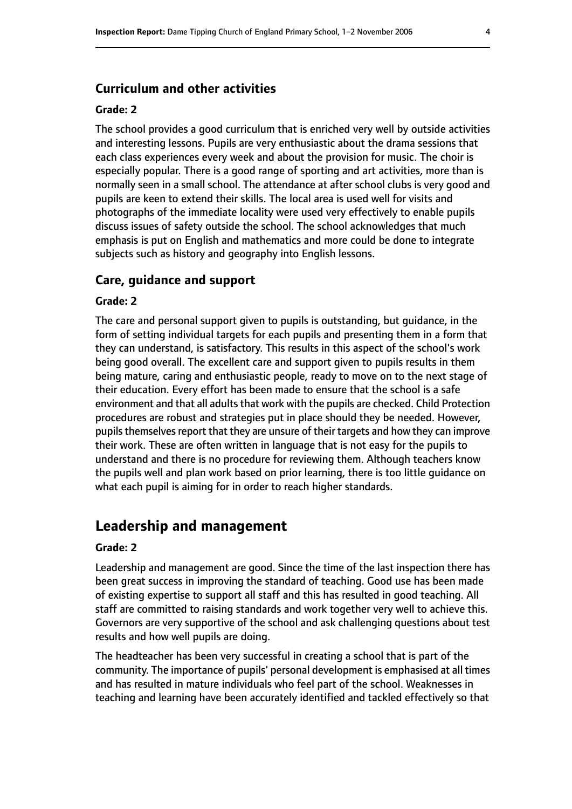#### **Curriculum and other activities**

#### **Grade: 2**

The school provides a good curriculum that is enriched very well by outside activities and interesting lessons. Pupils are very enthusiastic about the drama sessions that each class experiences every week and about the provision for music. The choir is especially popular. There is a good range of sporting and art activities, more than is normally seen in a small school. The attendance at after school clubs is very good and pupils are keen to extend their skills. The local area is used well for visits and photographs of the immediate locality were used very effectively to enable pupils discuss issues of safety outside the school. The school acknowledges that much emphasis is put on English and mathematics and more could be done to integrate subjects such as history and geography into English lessons.

#### **Care, guidance and support**

#### **Grade: 2**

The care and personal support given to pupils is outstanding, but guidance, in the form of setting individual targets for each pupils and presenting them in a form that they can understand, is satisfactory. This results in this aspect of the school's work being good overall. The excellent care and support given to pupils results in them being mature, caring and enthusiastic people, ready to move on to the next stage of their education. Every effort has been made to ensure that the school is a safe environment and that all adults that work with the pupils are checked. Child Protection procedures are robust and strategies put in place should they be needed. However, pupils themselves report that they are unsure of their targets and how they can improve their work. These are often written in language that is not easy for the pupils to understand and there is no procedure for reviewing them. Although teachers know the pupils well and plan work based on prior learning, there is too little guidance on what each pupil is aiming for in order to reach higher standards.

## **Leadership and management**

#### **Grade: 2**

Leadership and management are good. Since the time of the last inspection there has been great success in improving the standard of teaching. Good use has been made of existing expertise to support all staff and this has resulted in good teaching. All staff are committed to raising standards and work together very well to achieve this. Governors are very supportive of the school and ask challenging questions about test results and how well pupils are doing.

The headteacher has been very successful in creating a school that is part of the community. The importance of pupils' personal development is emphasised at all times and has resulted in mature individuals who feel part of the school. Weaknesses in teaching and learning have been accurately identified and tackled effectively so that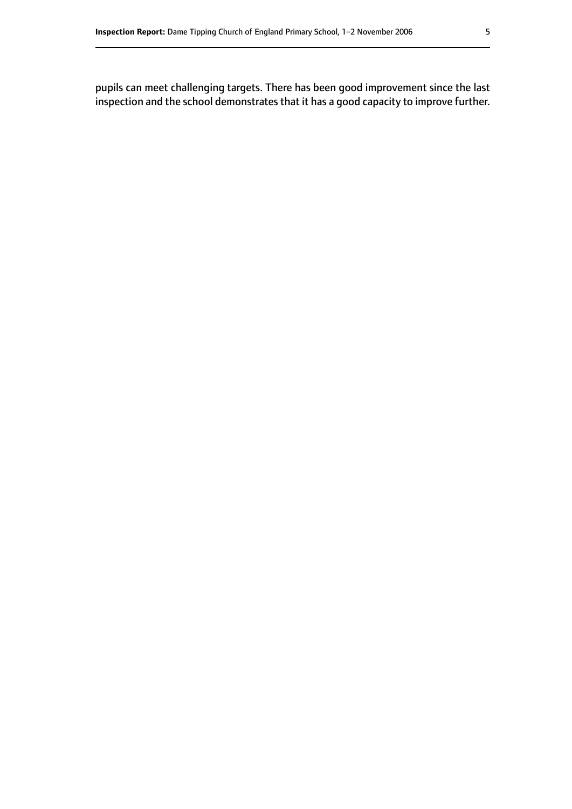pupils can meet challenging targets. There has been good improvement since the last inspection and the school demonstrates that it has a good capacity to improve further.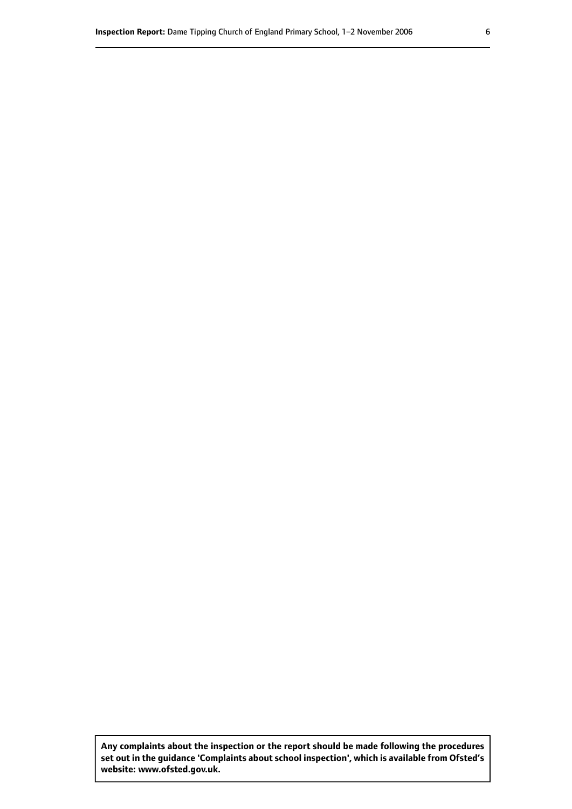**Any complaints about the inspection or the report should be made following the procedures set out inthe guidance 'Complaints about school inspection', whichis available from Ofsted's website: www.ofsted.gov.uk.**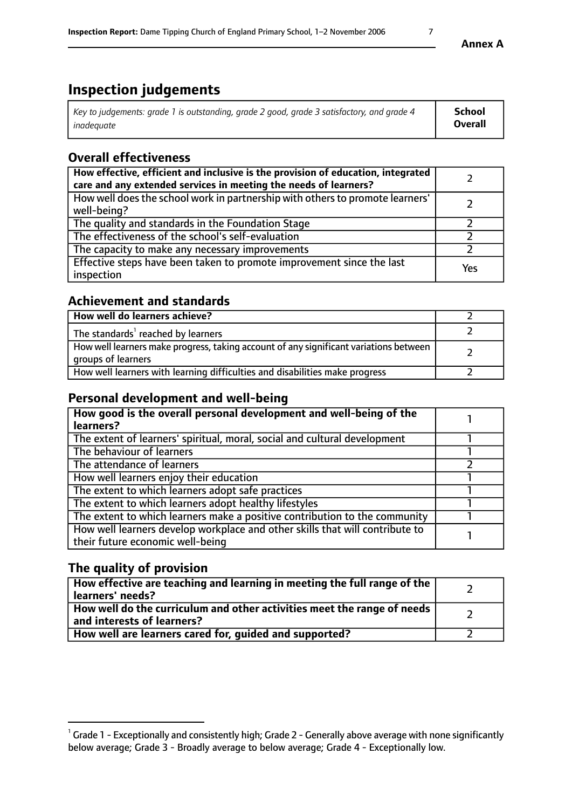# **Inspection judgements**

| Key to judgements: grade 1 is outstanding, grade 2 good, grade 3 satisfactory, and grade 4 | School         |
|--------------------------------------------------------------------------------------------|----------------|
| inadeauate                                                                                 | <b>Overall</b> |

# **Overall effectiveness**

| How effective, efficient and inclusive is the provision of education, integrated<br>care and any extended services in meeting the needs of learners? |     |
|------------------------------------------------------------------------------------------------------------------------------------------------------|-----|
| How well does the school work in partnership with others to promote learners'<br>well-being?                                                         |     |
| The quality and standards in the Foundation Stage                                                                                                    |     |
| The effectiveness of the school's self-evaluation                                                                                                    |     |
| The capacity to make any necessary improvements                                                                                                      |     |
| Effective steps have been taken to promote improvement since the last<br>inspection                                                                  | Yes |

# **Achievement and standards**

| How well do learners achieve?                                                                               |  |
|-------------------------------------------------------------------------------------------------------------|--|
| The standards <sup>1</sup> reached by learners                                                              |  |
| How well learners make progress, taking account of any significant variations between<br>groups of learners |  |
| How well learners with learning difficulties and disabilities make progress                                 |  |

# **Personal development and well-being**

| How good is the overall personal development and well-being of the<br>learners?                                  |  |
|------------------------------------------------------------------------------------------------------------------|--|
| The extent of learners' spiritual, moral, social and cultural development                                        |  |
| The behaviour of learners                                                                                        |  |
| The attendance of learners                                                                                       |  |
| How well learners enjoy their education                                                                          |  |
| The extent to which learners adopt safe practices                                                                |  |
| The extent to which learners adopt healthy lifestyles                                                            |  |
| The extent to which learners make a positive contribution to the community                                       |  |
| How well learners develop workplace and other skills that will contribute to<br>their future economic well-being |  |

# **The quality of provision**

| How effective are teaching and learning in meeting the full range of the<br>  learners' needs?                      |  |
|---------------------------------------------------------------------------------------------------------------------|--|
| $\mid$ How well do the curriculum and other activities meet the range of needs<br>$\mid$ and interests of learners? |  |
| How well are learners cared for, guided and supported?                                                              |  |

 $^1$  Grade 1 - Exceptionally and consistently high; Grade 2 - Generally above average with none significantly below average; Grade 3 - Broadly average to below average; Grade 4 - Exceptionally low.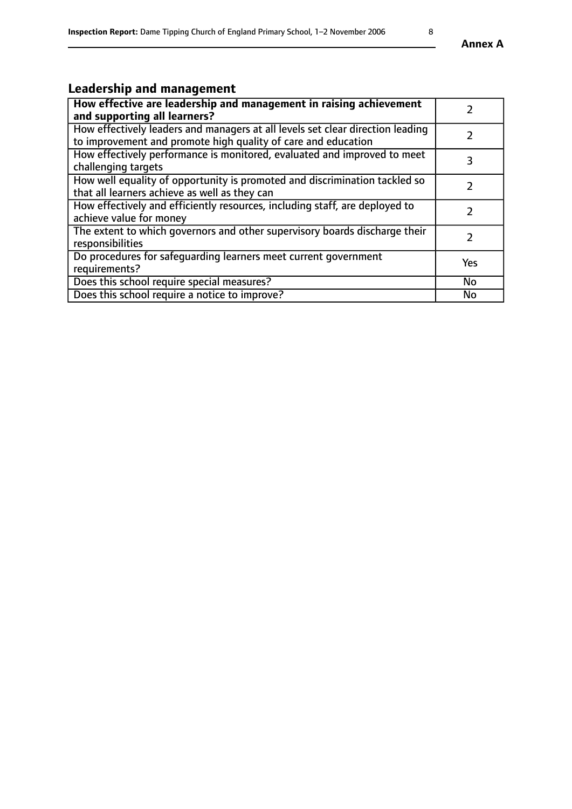# **Leadership and management**

| How effective are leadership and management in raising achievement<br>and supporting all learners?                                              | $\mathcal{P}$ |
|-------------------------------------------------------------------------------------------------------------------------------------------------|---------------|
| How effectively leaders and managers at all levels set clear direction leading<br>to improvement and promote high quality of care and education |               |
| How effectively performance is monitored, evaluated and improved to meet<br>challenging targets                                                 | 3             |
| How well equality of opportunity is promoted and discrimination tackled so<br>that all learners achieve as well as they can                     |               |
| How effectively and efficiently resources, including staff, are deployed to<br>achieve value for money                                          | $\mathcal{P}$ |
| The extent to which governors and other supervisory boards discharge their<br>responsibilities                                                  | 2             |
| Do procedures for safequarding learners meet current government<br>requirements?                                                                | Yes           |
| Does this school require special measures?                                                                                                      | No            |
| Does this school require a notice to improve?                                                                                                   | <b>No</b>     |